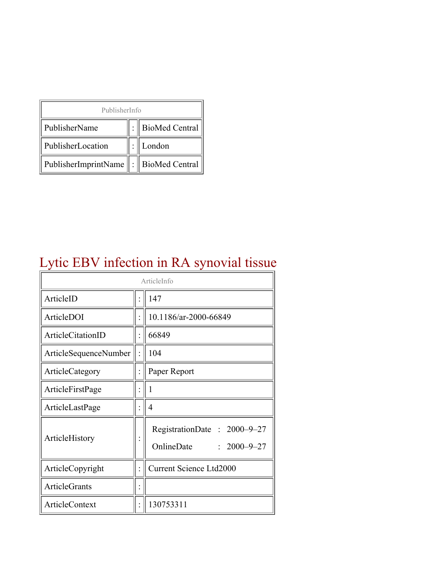| PublisherInfo                              |  |                  |  |  |
|--------------------------------------------|--|------------------|--|--|
| PublisherName                              |  | : BioMed Central |  |  |
| PublisherLocation                          |  | London           |  |  |
| PublisherImprintName   :    BioMed Central |  |                  |  |  |

# Lytic EBV infection in RA synovial tissue

| ArticleInfo           |  |                                                                |
|-----------------------|--|----------------------------------------------------------------|
| ArticleID             |  | 147                                                            |
| ArticleDOI            |  | 10.1186/ar-2000-66849                                          |
| ArticleCitationID     |  | 66849                                                          |
| ArticleSequenceNumber |  | 104                                                            |
| ArticleCategory       |  | Paper Report                                                   |
| ArticleFirstPage      |  | 1                                                              |
| ArticleLastPage       |  | $\overline{4}$                                                 |
| ArticleHistory        |  | RegistrationDate: 2000-9-27<br>OnlineDate<br>$: 2000 - 9 - 27$ |
| ArticleCopyright      |  | <b>Current Science Ltd2000</b>                                 |
| <b>ArticleGrants</b>  |  |                                                                |
| <b>ArticleContext</b> |  | 130753311                                                      |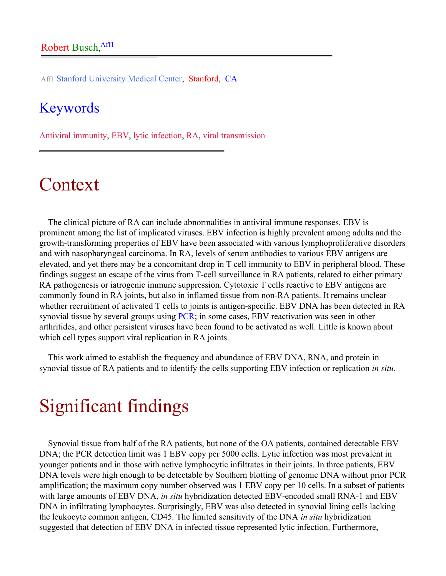Aff1 Stanford University Medical Center, Stanford, CA

### Keywords

Antiviral immunity, EBV, lytic infection, RA, viral transmission

# Context

The clinical picture of RA can include abnormalities in antiviral immune responses. EBV is prominent among the list of implicated viruses. EBV infection is highly prevalent among adults and the growth-transforming properties of EBV have been associated with various lymphoproliferative disorders and with nasopharyngeal carcinoma. In RA, levels of serum antibodies to various EBV antigens are elevated, and yet there may be a concomitant drop in T cell immunity to EBV in peripheral blood. These findings suggest an escape of the virus from T-cell surveillance in RA patients, related to either primary RA pathogenesis or iatrogenic immune suppression. Cytotoxic T cells reactive to EBV antigens are commonly found in RA joints, but also in inflamed tissue from non-RA patients. It remains unclear whether recruitment of activated T cells to joints is antigen-specific. EBV DNA has been detected in RA synovial tissue by several groups using [PCR](http://arthritis-research.com/glossary/?letter=P&referrer=); in some cases, EBV reactivation was seen in other arthritides, and other persistent viruses have been found to be activated as well. Little is known about which cell types support viral replication in RA joints.

This work aimed to establish the frequency and abundance of EBV DNA, RNA, and protein in synovial tissue of RA patients and to identify the cells supporting EBV infection or replication *in situ*.

# Significant findings

Synovial tissue from half of the RA patients, but none of the OA patients, contained detectable EBV DNA; the PCR detection limit was 1 EBV copy per 5000 cells. Lytic infection was most prevalent in younger patients and in those with active lymphocytic infiltrates in their joints. In three patients, EBV DNA levels were high enough to be detectable by Southern blotting of genomic DNA without prior PCR amplification; the maximum copy number observed was 1 EBV copy per 10 cells. In a subset of patients with large amounts of EBV DNA, *in situ* hybridization detected EBV-encoded small RNA-1 and EBV DNA in infiltrating lymphocytes. Surprisingly, EBV was also detected in synovial lining cells lacking the leukocyte common antigen, CD45. The limited sensitivity of the DNA *in situ* hybridization suggested that detection of EBV DNA in infected tissue represented lytic infection. Furthermore,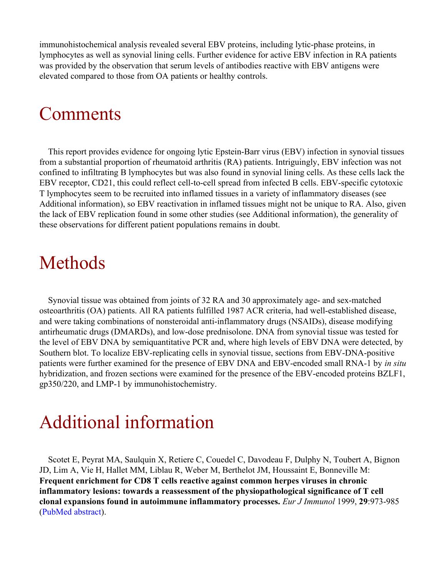immunohistochemical analysis revealed several EBV proteins, including lytic-phase proteins, in lymphocytes as well as synovial lining cells. Further evidence for active EBV infection in RA patients was provided by the observation that serum levels of antibodies reactive with EBV antigens were elevated compared to those from OA patients or healthy controls.

## **Comments**

This report provides evidence for ongoing lytic Epstein-Barr virus (EBV) infection in synovial tissues from a substantial proportion of rheumatoid arthritis (RA) patients. Intriguingly, EBV infection was not confined to infiltrating B lymphocytes but was also found in synovial lining cells. As these cells lack the EBV receptor, CD21, this could reflect cell-to-cell spread from infected B cells. EBV-specific cytotoxic T lymphocytes seem to be recruited into inflamed tissues in a variety of inflammatory diseases (see Additional information), so EBV reactivation in inflamed tissues might not be unique to RA. Also, given the lack of EBV replication found in some other studies (see Additional information), the generality of these observations for different patient populations remains in doubt.

## Methods

Synovial tissue was obtained from joints of 32 RA and 30 approximately age- and sex-matched osteoarthritis (OA) patients. All RA patients fulfilled 1987 ACR criteria, had well-established disease, and were taking combinations of nonsteroidal anti-inflammatory drugs (NSAIDs), disease modifying antirheumatic drugs (DMARDs), and low-dose prednisolone. DNA from synovial tissue was tested for the level of EBV DNA by semiquantitative PCR and, where high levels of EBV DNA were detected, by Southern blot. To localize EBV-replicating cells in synovial tissue, sections from EBV-DNA-positive patients were further examined for the presence of EBV DNA and EBV-encoded small RNA-1 by *in situ* hybridization, and frozen sections were examined for the presence of the EBV-encoded proteins BZLF1, gp350/220, and LMP-1 by immunohistochemistry.

# Additional information

Scotet E, Peyrat MA, Saulquin X, Retiere C, Couedel C, Davodeau F, Dulphy N, Toubert A, Bignon JD, Lim A, Vie H, Hallet MM, Liblau R, Weber M, Berthelot JM, Houssaint E, Bonneville M: **Frequent enrichment for CD8 T cells reactive against common herpes viruses in chronic inflammatory lesions: towards a reassessment of the physiopathological significance of T cell clonal expansions found in autoimmune inflammatory processes.** *Eur J Immunol* 1999, **29**:973-985 ([PubMed abstract\)](http://www.ncbi.nlm.nih.gov/entrez/query.fcgi?cmd=Retrieve&db=PubMed&list_uids=10092102&dopt=Abstract).